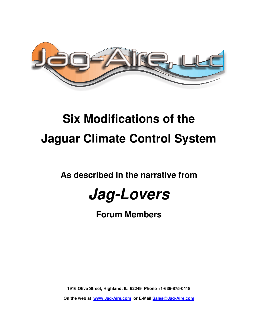

# **Six Modifications of the Jaguar Climate Control System**

**As described in the narrative from** 



**Forum Members** 

**1916 Olive Street, Highland, IL 62249 Phone +1-636-875-0418** 

**On the web at www.Jag-Aire.com or E-Mail Sales@Jag-Aire.com**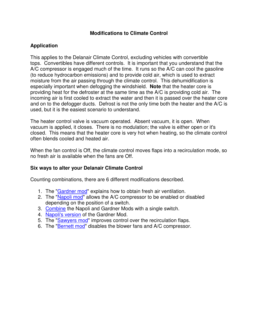#### **Modifications to Climate Control**

#### **Application**

This applies to the Delanair Climate Control, excluding vehicles with convertible tops. Convertibles have different controls. It is important that you understand that the A/C compressor is engaged much of the time. It runs so the A/C can cool the gasoline (to reduce hydrocarbon emissions) and to provide cold air, which is used to extract moisture from the air passing through the climate control. This dehumidification is especially important when defogging the windshield. **Note** that the heater core is providing heat for the defroster at the same time as the A/C is providing cold air. The incoming air is first cooled to extract the water and then it is passed over the heater core and on to the defogger ducts. Defrost is not the only time both the heater and the A/C is used, but it is the easiest scenario to understand.

The heater control valve is vacuum operated. Absent vacuum, it is open. When vacuum is applied, it closes. There is no modulation; the valve is either open or it's closed. This means that the heater core is very hot when heating, so the climate control often blends cooled and heated air.

When the fan control is Off, the climate control moves flaps into a recirculation mode, so no fresh air is available when the fans are Off.

#### **Six ways to alter your Delanair Climate Control**

Counting combinations, there are 6 different modifications described.

- 1. The "Gardner mod" explains how to obtain fresh air ventilation.
- 2. The "Napoli mod" allows the A/C compressor to be enabled or disabled depending on the position of a switch.
- 3. Combine the Napoli and Gardner Mods with a single switch.
- 4. Napoli's version of the Gardner Mod.
- 5. The "Sawyers mod" improves control over the recirculation flaps.
- 6. The "Bernett mod" disables the blower fans and A/C compressor.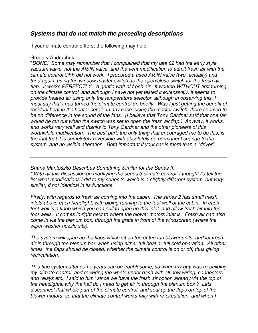# **Systems that do not match the preceding descriptions**

If your climate control differs, the following may help.

#### Gregory Andrachuk:

"DONE! Some may remember that I complained that my late 82 had the early style vacuum valve, not the AISIN valve, and the vent modification to admit fresh air with the climate control OFF did not work. I procured a used AISIN valve (two, actually) and tried again, using the window master switch as the open/close switch for the fresh air flap. It works PERFECTLY. A gentle waft of fresh air. It worked WITHOUT first turning on the climate control, and although I have not yet tested it extensively, it seems to provide heated air using only the temperature selector, although in observing this, I must say that I had turned the climate control on briefly. Was I just getting the benefit of residual heat in the heater core? In any case, using the master switch, there seemed to be no difference in the sound of the fans. (I believe that Tony Gardner said that one fan would be cut out when the switch was set to open the fresh air flap.) Anyway, it works, and works very well and thanks to Tony Gardner and the other pioneers of this worthwhile modification. The best part, the only thing that encouraged me to do this, is the fact that it is completely reversible with absolutely no permanent change to the system, and no visible alteration. Both important if your car is more than a "driver".

Shane Mantoszko Describes Something Similar for the Series II: " With all this discussion on modifying the series 3 climate control, I thought I'd tell the list what modifications I did to my series 2, which is a slightly different system, but very similar, if not identical in its functions.

Firstly, with regards to fresh air coming into the cabin. The series 2 has small mesh inlets above each headlight, with piping running to the foot well of the cabin. In each foot well is a knob which you can pull to open up this inlet, and allow fresh air into the foot wells. It comes in right next to where the blower motors inlet is. Fresh air can also come in via the plenum box, through the grate in front of the windscreen (where the wiper-washer nozzle sits).

The system will open up the flaps which sit on top of the fan blower units, and let fresh air in through the plenum box when using either full heat or full cold operation. All other times, the flaps should be closed, whether the climate control is on or off, thus giving recirculation.

This flap system after some years can be troublesome, so when my guy was re-building my climate control, and re-wiring the whole under dash with all new wiring, connectors and relays etc., I said to him ' since we have the fresh air option already via the top of the headlights, why the hell do I need to get air in through the plenum box ? Lets disconnect that whole part of the climate control, and seal up the flaps on top of the blower motors, so that the climate control works fully with re-circulation, and when I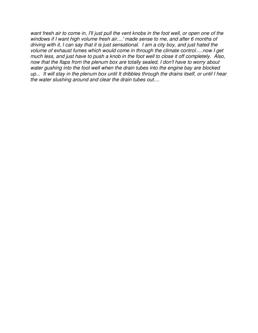want fresh air to come in, I'll just pull the vent knobs in the foot well, or open one of the windows if I want high volume fresh air....' made sense to me, and after 6 months of driving with it, I can say that it is just sensational. I am a city boy, and just hated the volume of exhaust fumes which would come in through the climate control.....now I get much less, and just have to push a knob in the foot well to close it off completely. Also, now that the flaps from the plenum box are totally sealed, I don't have to worry about water gushing into the foot well when the drain tubes into the engine bay are blocked up... It will stay in the plenum box until It dribbles through the drains itself, or until I hear the water slushing around and clear the drain tubes out....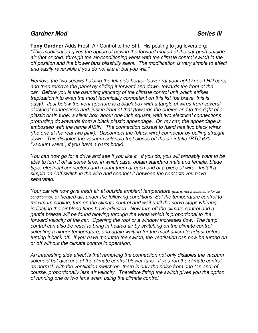## **Gardner Mod Series III**

**Tony Gardner** Adds Fresh Air Control to the SIII. His posting to jag-lovers.org: "This modification gives the option of having the forward motion of the car push outside air (hot or cold) through the air-conditioning vents with the climate control switch in the off position and the blower fans blissfully silent. The modification is very simple to effect and easily reversible if you do not like it; but you will."

Remove the two screws holding the left side heater louver (at your right knee LHD cars) and then remove the panel by sliding it forward and down, towards the front of the car. Before you is the daunting intricacy of the climate control unit which strikes trepidation into even the most technically competent on this list (be brave, this is easy). Just below the vent aperture is a black box with a tangle of wires from several electrical connections and, just in front of that (towards the engine and to the right of a plastic drain tube) a silver box, about one inch square, with two electrical connections protruding downwards from a black plastic appendage. On my car, the appendage is embossed with the name AISIN. The connection closest to hand has two black wires (the one at the rear two pink). Disconnect the (black wire) connector by pulling straight down. This disables the vacuum solenoid that closes off the air intake (RTC 670 "vacuum valve", if you have a parts book).

You can now go for a drive and see if you like it. If you do, you will probably want to be able to turn it off at some time, in which case, obtain standard male and female, blade type, electrical connectors and mount them at each end of a piece of wire. Install a simple on / off switch in the wire and connect it between the contacts you have separated.

Your car will now give fresh air at outside ambient temperature (this is not a substitute for air conditioning), or heated air, under the following conditions: Set the temperature control to maximum cooling, turn on the climate control and wait until the servo stops whirring indicating the air blend flaps have adjusted. Now turn off the climate control and a gentle breeze will be found blowing through the vents which is proportional to the forward velocity of the car. Opening the roof or a window increases flow. The temp control can also be reset to bring in heated air by switching on the climate control, selecting a higher temperature, and again waiting for the mechanism to adjust before turning it back off. If you have mounted the switch, the ventilation can now be turned on or off without the climate control in operation.

An interesting side effect is that removing the connection not only disables the vacuum solenoid but also one of the climate control blower fans. If you run the climate control as normal, with the ventilation switch on, there is only the noise from one fan and, of course, proportionally less air velocity. Therefore fitting the switch gives you the option of running one or two fans when using the climate control.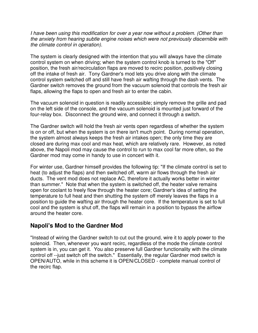I have been using this modification for over a year now without a problem. (Other than the anxiety from hearing subtle engine noises which were not previously discernible with the climate control in operation).

The system is clearly designed with the intention that you will always have the climate control system on when driving; when the system control knob is turned to the "Off" position, the fresh air/recirculation flaps are moved to recirc position, positively closing off the intake of fresh air. Tony Gardner's mod lets you drive along with the climate control system switched off and still have fresh air wafting through the dash vents. The Gardner switch removes the ground from the vacuum solenoid that controls the fresh air flaps, allowing the flaps to open and fresh air to enter the cabin.

The vacuum solenoid in question is readily accessible; simply remove the grille and pad on the left side of the console, and the vacuum solenoid is mounted just forward of the four-relay box. Disconnect the ground wire, and connect it through a switch.

The Gardner switch will hold the fresh air vents open regardless of whether the system is on or off, but when the system is on there isn't much point. During normal operation, the system almost always keeps the fresh air intakes open; the only time they are closed are during max cool and max heat, which are relatively rare. However, as noted above, the Napoli mod may cause the control to run to max cool far more often, so the Gardner mod may come in handy to use in concert with it.

For winter use, Gardner himself provides the following tip: "If the climate control is set to heat (to adjust the flaps) and then switched off, warm air flows through the fresh air ducts. The vent mod does not replace AC, therefore it actually works better in winter than summer." Note that when the system is switched off, the heater valve remains open for coolant to freely flow through the heater core; Gardner's idea of setting the temperature to full heat and then shutting the system off merely leaves the flaps in a position to guide the wafting air through the heater core. If the temperature is set to full cool and the system is shut off, the flaps will remain in a position to bypass the airflow around the heater core.

# **Napoli's Mod to the Gardner Mod**

"Instead of wiring the Gardner switch to cut out the ground, wire it to apply power to the solenoid. Then, whenever you want recirc, regardless of the mode the climate control system is in, you can get it. You also preserve full Gardner functionality with the climate control off --just switch off the switch." Essentially, the regular Gardner mod switch is OPEN/AUTO, while in this scheme it is OPEN/CLOSED - complete manual control of the recirc flap.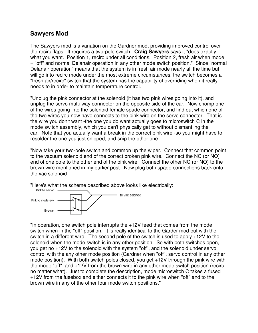## **Sawyers Mod**

The Sawyers mod is a variation on the Gardner mod, providing improved control over the recirc flaps. It requires a two-pole switch. **Craig Sawyers** says it "does exactly what you want. Position 1, recirc under all conditions. Position 2, fresh air when mode = "off" and normal Delanair operation in any other mode switch position." Since "normal Delanair operation" means that the system is in fresh air mode nearly all the time but will go into recirc mode under the most extreme circumstances, the switch becomes a "fresh air/recirc" switch that the system has the capability of overriding when it really needs to in order to maintain temperature control.

"Unplug the pink connector at the solenoid (it has two pink wires going into it), and unplug the servo multi-way connector on the opposite side of the car. Now chomp one of the wires going into the solenoid female spade connector, and find out which one of the two wires you now have connects to the pink wire on the servo connector. That is the wire you don't want -the one you do want actually goes to microswitch C in the mode switch assembly, which you can't physically get to without dismantling the car. Note that you actually want a break in the correct pink wire -so you might have to resolder the one you just snipped, and snip the other one.

"Now take your two-pole switch and common up the wiper. Connect that common point to the vacuum solenoid end of the correct broken pink wire. Connect the NC (or NO) end of one pole to the other end of the pink wire. Connect the other NC (or NO) to the brown wire mentioned in my earlier post. Now plug both spade connections back onto the vac solenoid.

"Here's what the scheme described above looks like electrically:<br>Fink to serve **express and contains** 



"In operation, one switch pole interrupts the +12V feed that comes from the mode switch when in the "off" position. It is really identical to the Garder mod but with the switch in a different wire. The second pole of the switch is used to apply +12V to the solenoid when the mode switch is in any other position. So with both switches open, you get no +12V to the solenoid with the system "off", and the solenoid under servo control with the any other mode position (Gardner when "off", servo control in any other mode position). With both switch poles closed, you get +12V through the pink wire with the mode "off", and +12V from the brown wire in any other mode switch position (recirc no matter what). Just to complete the description, mode microswitch C takes a fused +12V from the fusebox and either connects it to the pink wire when "off" and to the brown wire in any of the other four mode switch positions."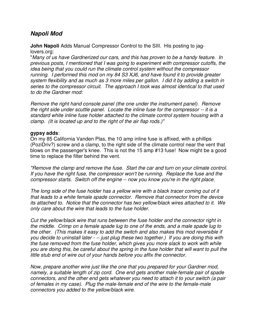## **Napoli Mod**

**John Napoli** Adds Manual Compressor Control to the SIII. His posting to jaglovers.org:

"Many of us have Gardnerized our cars, and this has proven to be a handy feature. In previous posts, I mentioned that I was going to experiment with compressor cutoffs, the idea being that you could run the climate control system without the compressor running. I performed this mod on my 84 S3 XJ6, and have found it to provide greater system flexibility and as much as 3 more miles per gallon. I did it by adding a switch in series to the compressor circuit. The approach I took was almost identical to that used to do the Gardner mod:

Remove the right hand console panel (the one under the instrument panel). Remove the right side under scuttle panel. Locate the inline fuse for the compressor -- it is a standard white inline fuse holder attached to the climate control system housing with a clamp. (It is located up and to the right of the air flap rods.)"

#### **gypsy adds**:

On my 85 California Vanden Plas, the 10 amp inline fuse is affixed, with a phillips (PoziDriv?) screw and a clamp, to the right side of the climate control near the vent that blows on the passenger's knee. This is not the 15 amp #13 fuse! Now might be a good time to replace the filter behind the vent.

"Remove the clamp and remove the fuse. Start the car and turn on your climate control. If you have the right fuse, the compressor won't be running. Replace the fuse and the compressor starts. Switch off the engine -- now you know you're in the right place.

The long side of the fuse holder has a yellow wire with a black tracer coming out of it that leads to a white female spade connector. Remove that connector from the device its attached to. Notice that the connector has two yellow/black wires attached to it. We only care about the wire that leads to the fuse holder.

Cut the yellow/black wire that runs between the fuse holder and the connector right in the middle. Crimp on a female spade lug to one of the ends, and a male spade lug to the other. (This makes it easy to add the switch and also makes this mod reversible if you decide to uninstall later - -- just plug these two together.) If you are doing this with the fuse removed from the fuse holder, which gives you more slack to work with while you are doing this, be careful about the spring in the fuse holder that will want to pull the little stub end of wire out of your hands before you affix the connector.

Now, prepare another wire just like the one that you prepared for your Gardner mod, namely, a suitable length of zip cord. One end gets another male-female pair of spade connectors, and the other end gets whatever you need to attach it to your switch (a pair of females in my case). Plug the male-female end of the wire to the female-male connectors you added to the yellow/black wire.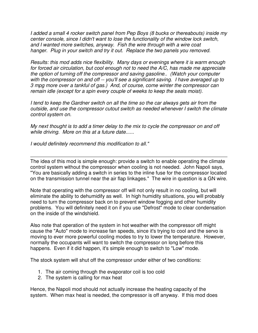I added a small 4 rocker switch panel from Pep Boys (8 bucks or thereabouts) inside my center console, since I didn't want to lose the functionality of the window lock switch, and I wanted more switches, anyway. Fish the wire through with a wire coat hanger. Plug in your switch and try it out. Replace the two panels you removed.

Results: this mod adds nice flexibility. Many days or evenings where it is warm enough for forced air circulation, but cool enough not to need the A/C, has made me appreciate the option of turning off the compressor and saving gasoline.. (Watch your computer with the compressor on and off -- you'll see a significant saving. I have averaged up to 3 mpg more over a tankful of gas.) And, of course, come winter the compressor can remain idle (except for a spin every couple of weeks to keep the seals moist).

I tend to keep the Gardner switch on all the time so the car always gets air from the outside, and use the compressor cutout switch as needed whenever I switch the climate control system on.

My next thought is to add a timer delay to the mix to cycle the compressor on and off while driving. More on this at a future date......

I would definitely recommend this modification to all."

The idea of this mod is simple enough: provide a switch to enable operating the climate control system without the compressor when cooling is not needed. John Napoli says, "You are basically adding a switch in series to the inline fuse for the compressor located on the transmission tunnel near the air flap linkages." The wire in question is a GN wire.

Note that operating with the compressor off will not only result in no cooling, but will eliminate the ability to dehumidify as well. In high humidity situations, you will probably need to turn the compressor back on to prevent window fogging and other humidity problems. You will definitely need it on if you use "Defrost" mode to clear condensation on the inside of the windshield.

Also note that operation of the system in hot weather with the compressor off might cause the "Auto" mode to increase fan speeds, since it's trying to cool and the servo is moving to ever more powerful cooling modes to try to lower the temperature. However, normally the occupants will want to switch the compressor on long before this happens. Even if it did happen, it's simple enough to switch to "Low" mode.

The stock system will shut off the compressor under either of two conditions:

- 1. The air coming through the evaporator coil is too cold
- 2. The system is calling for max heat

Hence, the Napoli mod should not actually increase the heating capacity of the system. When max heat is needed, the compressor is off anyway. If this mod does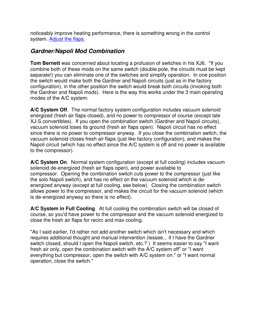noticeably improve heating performance, there is something wrong in the control system. Adjust the flaps.

# **Gardner/Napoli Mod Combination**

**Tom Bernett** was concerned about locating a profusion of switches in his XJ6. "If you combine both of these mods on the same switch (double pole, the circuits must be kept separate!) you can eliminate one of the switches and simplify operation. In one position the switch would make both the Gardner and Napoli circuits (just as in the factory configuration), in the other position the switch would break both circuits (invoking both the Gardner and Napoli mods). Here is the way this works under the 3 main operating modes of the A/C system:

**A/C System Off**. The normal factory system configuration includes vacuum solenoid energized (fresh air flaps closed), and no power to compressor of course (except late XJ-S convertibles). If you open the combination switch (Gardner and Napoli circuits), vacuum solenoid loses its ground (fresh air flaps open). Napoli circuit has no effect since there is no power to compressor anyway. If you close the combination switch, the vacuum solenoid closes fresh air flaps (just like factory configuration), and makes the Napoli circuit (which has no effect since the A/C system is off and no power is available to the compressor).

**A/C System On**. Normal system configuration (except at full cooling) includes vacuum solenoid de-energized (fresh air flaps open), and power available to compressor. Opening the combination switch cuts power to the compressor (just like the solo Napoli switch), and has no effect on the vacuum solenoid which is deenergized anyway (except at full cooling, see below). Closing the combination switch allows power to the compressor, and makes the circuit for the vacuum solenoid (which is de-energized anyway so there is no effect).

**A/C System in Full Cooling**. At full cooling the combination switch will be closed of course, so you'd have power to the compressor and the vacuum solenoid energized to close the fresh air flaps for recirc and max cooling.

"As I said earlier, I'd rather not add another switch which isn't necessary and which requires additional thought and manual intervention (lessee... if I have the Gardner switch closed, should I open the Napoli switch, etc.?) It seems easier to say "I want fresh air only, open the combination switch with the A/C system off" or "I want everything but compressor, open the switch with A/C system on." or "I want normal operation, close the switch."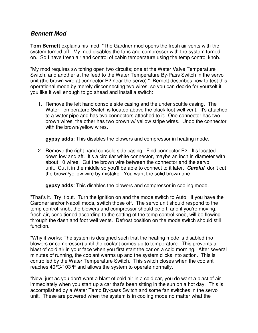# **Bennett Mod**

**Tom Bernett** explains his mod: "The Gardner mod opens the fresh air vents with the system turned off. My mod disables the fans and compressor with the system turned on. So I have fresh air and control of cabin temperature using the temp control knob.

"My mod requires switching open two circuits; one at the Water Valve Temperature Switch, and another at the feed to the Water Temperature By-Pass Switch in the servo unit (the brown wire at connector P2 near the servo)." Bernett describes how to test this operational mode by merely disconnecting two wires, so you can decide for yourself if you like it well enough to go ahead and install a switch:

1. Remove the left hand console side casing and the under scuttle casing. The Water Temperature Switch is located above the black foot well vent. It's attached to a water pipe and has two connectors attached to it. One connector has two brown wires, the other has two brown w/ yellow stripe wires. Undo the connector with the brown/yellow wires.

**gypsy adds**: This disables the blowers and compressor in heating mode.

2. Remove the right hand console side casing. Find connector P2. It's located down low and aft. It's a circular white connector, maybe an inch in diameter with about 10 wires. Cut the brown wire between the connector and the servo unit. Cut it in the middle so you'll be able to connect to it later. **Careful**, don't cut the brown/yellow wire by mistake. You want the solid brown one.

**gypsy adds**: This disables the blowers and compressor in cooling mode.

"That's it. Try it out. Turn the ignition on and the mode switch to Auto. If you have the Gardner and/or Napoli mods, switch those off. The servo unit should respond to the temp control knob, the blowers and compressor should be off, and if you're moving, fresh air, conditioned according to the setting of the temp control knob, will be flowing through the dash and foot well vents. Defrost position on the mode switch should still function.

"Why it works: The system is designed such that the heating mode is disabled (no blowers or compressor) until the coolant comes up to temperature. This prevents a blast of cold air in your face when you first start the car on a cold morning. After several minutes of running, the coolant warms up and the system clicks into action. This is controlled by the Water Temperature Switch. This switch closes when the coolant reaches 40°C/103°F and allows the system to operate normally.

"Now, just as you don't want a blast of cold air in a cold car, you do want a blast of air immediately when you start up a car that's been sitting in the sun on a hot day. This is accomplished by a Water Temp By-pass Switch and some fan switches in the servo unit. These are powered when the system is in cooling mode no matter what the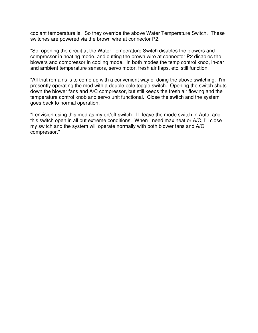coolant temperature is. So they override the above Water Temperature Switch. These switches are powered via the brown wire at connector P2.

"So, opening the circuit at the Water Temperature Switch disables the blowers and compressor in heating mode, and cutting the brown wire at connector P2 disables the blowers and compressor in cooling mode. In both modes the temp control knob, in-car and ambient temperature sensors, servo motor, fresh air flaps, etc. still function.

"All that remains is to come up with a convenient way of doing the above switching. I'm presently operating the mod with a double pole toggle switch. Opening the switch shuts down the blower fans and A/C compressor, but still keeps the fresh air flowing and the temperature control knob and servo unit functional. Close the switch and the system goes back to normal operation.

"I envision using this mod as my on/off switch. I'll leave the mode switch in Auto, and this switch open in all but extreme conditions. When I need max heat or A/C, I'll close my switch and the system will operate normally with both blower fans and A/C compressor."